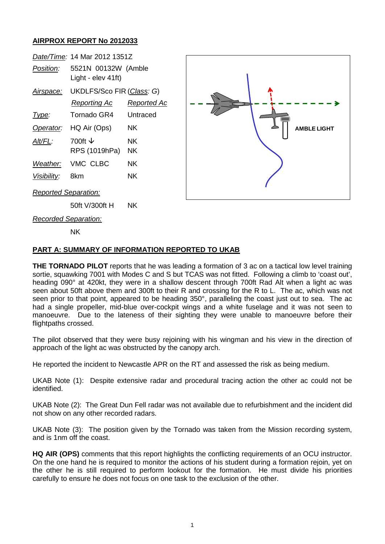## **AIRPROX REPORT No 2012033**

|                      | Date/Time: 14 Mar 2012 1351Z |             |
|----------------------|------------------------------|-------------|
| Position:            | 5521N 00132W (Amble          |             |
|                      | Light - elev 41ft)           |             |
| <u>Airspace:</u>     | UKDLFS/Sco FIR (Class: G)    |             |
|                      | Reporting Ac                 | Reported Ac |
| Type:                | Tornado GR4                  | Untraced    |
|                      | Operator: HQ Air (Ops)       | ΝK          |
| <i>AIt/FL:</i>       | 700ft V                      | ΝK          |
|                      | RPS (1019hPa)                | NK          |
|                      | Weather: VMC CLBC            | ΝK          |
| Visibility:          | 8km                          | ΝK          |
| Reported Separation: |                              |             |



50ft V/300ft H NK

*Recorded Separation:*

NK

## **PART A: SUMMARY OF INFORMATION REPORTED TO UKAB**

**THE TORNADO PILOT** reports that he was leading a formation of 3 ac on a tactical low level training sortie, squawking 7001 with Modes C and S but TCAS was not fitted. Following a climb to 'coast out', heading 090° at 420kt, they were in a shallow descent through 700ft Rad Alt when a light ac was seen about 50ft above them and 300ft to their R and crossing for the R to L. The ac, which was not seen prior to that point, appeared to be heading 350°, paralleling the coast just out to sea. The ac had a single propeller, mid-blue over-cockpit wings and a white fuselage and it was not seen to manoeuvre. Due to the lateness of their sighting they were unable to manoeuvre before their flightpaths crossed.

The pilot observed that they were busy rejoining with his wingman and his view in the direction of approach of the light ac was obstructed by the canopy arch.

He reported the incident to Newcastle APR on the RT and assessed the risk as being medium.

UKAB Note (1): Despite extensive radar and procedural tracing action the other ac could not be identified.

UKAB Note (2): The Great Dun Fell radar was not available due to refurbishment and the incident did not show on any other recorded radars.

UKAB Note (3): The position given by the Tornado was taken from the Mission recording system, and is 1nm off the coast.

**HQ AIR (OPS)** comments that this report highlights the conflicting requirements of an OCU instructor. On the one hand he is required to monitor the actions of his student during a formation rejoin, yet on the other he is still required to perform lookout for the formation. He must divide his priorities carefully to ensure he does not focus on one task to the exclusion of the other.